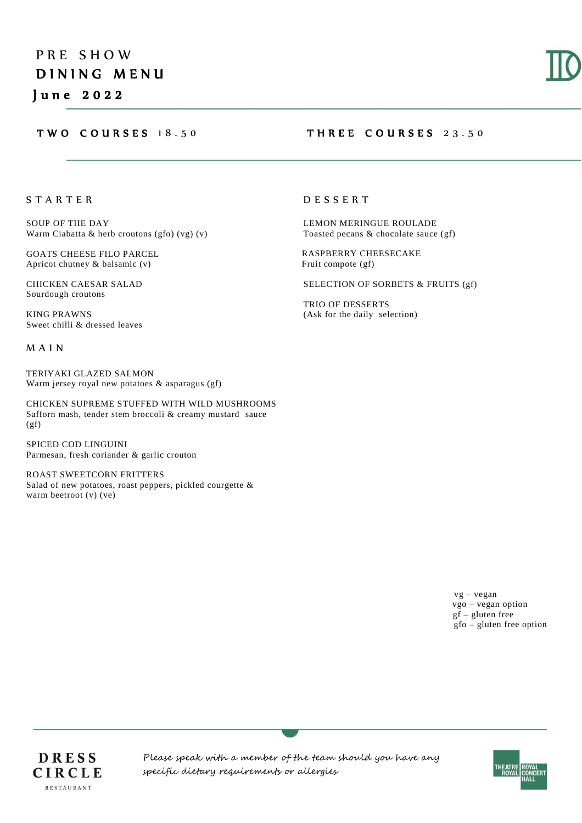## TWO COURSES 18.50 THREE COURSES 23.50

S T A R T E R

SOUP OF THE DAY Warm Ciabatta & herb croutons (gfo) (vg) (v)

GOATS CHEESE FILO PARCEL Apricot chutney & balsamic (v)

CHICKEN CAESAR SALAD Sourdough croutons

KING PRAWNS Sweet chilli & dressed leaves

M A I N

TERIYAKI GLAZED SALMON Warm jersey royal new potatoes & asparagus (gf)

CHICKEN SUPREME STUFFED WITH WILD MUSHROOMS Safforn mash, tender stem broccoli & creamy mustard sauce  $(gf)$ 

SPICED COD LINGUINI Parmesan, fresh coriander & garlic crouton

ROAST SWEETCORN FRITTERS Salad of new potatoes, roast peppers, pickled courgette & warm beetroot (v) (ve)

## D E S S E R T

LEMON MERINGUE ROULADE Toasted pecans & chocolate sauce (gf)

 RASPBERRY CHEESECAKE Fruit compote (gf)

SELECTION OF SORBETS & FRUITS (gf)

TRIO OF DESSERTS (Ask for the daily selection)

> vg – vegan vgo – vegan option gf – gluten free gfo – gluten free option

DRESS CIRCLE **RESTAURANT** 

Please speak with a member of the team should you have any specific dietary requirements or allergies